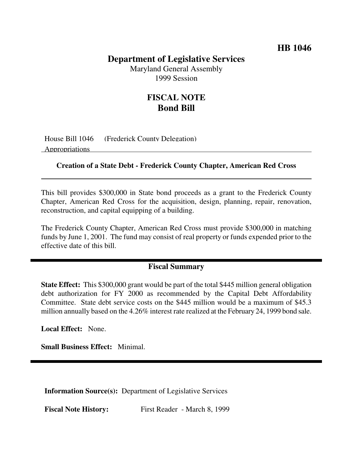## **HB 1046**

## **Department of Legislative Services**

Maryland General Assembly 1999 Session

# **FISCAL NOTE Bond Bill**

House Bill 1046 (Frederick County Delegation) Appropriations

#### **Creation of a State Debt - Frederick County Chapter, American Red Cross**

This bill provides \$300,000 in State bond proceeds as a grant to the Frederick County Chapter, American Red Cross for the acquisition, design, planning, repair, renovation, reconstruction, and capital equipping of a building.

The Frederick County Chapter, American Red Cross must provide \$300,000 in matching funds by June 1, 2001. The fund may consist of real property or funds expended prior to the effective date of this bill.

## **Fiscal Summary**

**State Effect:** This \$300,000 grant would be part of the total \$445 million general obligation debt authorization for FY 2000 as recommended by the Capital Debt Affordability Committee. State debt service costs on the \$445 million would be a maximum of \$45.3 million annually based on the 4.26% interest rate realized at the February 24, 1999 bond sale.

**Local Effect:** None.

**Small Business Effect:** Minimal.

**Information Source(s):** Department of Legislative Services

**Fiscal Note History:** First Reader - March 8, 1999